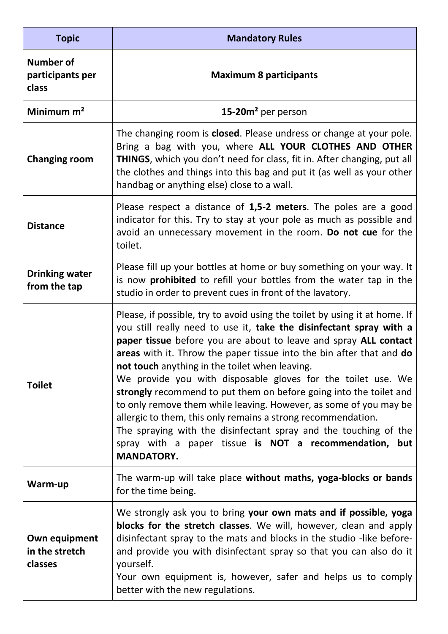| <b>Topic</b>                                  | <b>Mandatory Rules</b>                                                                                                                                                                                                                                                                                                                                                                                                                                                                                                                                                                                                                                                                                                                                                        |
|-----------------------------------------------|-------------------------------------------------------------------------------------------------------------------------------------------------------------------------------------------------------------------------------------------------------------------------------------------------------------------------------------------------------------------------------------------------------------------------------------------------------------------------------------------------------------------------------------------------------------------------------------------------------------------------------------------------------------------------------------------------------------------------------------------------------------------------------|
| <b>Number of</b><br>participants per<br>class | <b>Maximum 8 participants</b>                                                                                                                                                                                                                                                                                                                                                                                                                                                                                                                                                                                                                                                                                                                                                 |
| Minimum $m2$                                  | 15-20m <sup>2</sup> per person                                                                                                                                                                                                                                                                                                                                                                                                                                                                                                                                                                                                                                                                                                                                                |
| <b>Changing room</b>                          | The changing room is closed. Please undress or change at your pole.<br>Bring a bag with you, where ALL YOUR CLOTHES AND OTHER<br><b>THINGS</b> , which you don't need for class, fit in. After changing, put all<br>the clothes and things into this bag and put it (as well as your other<br>handbag or anything else) close to a wall.                                                                                                                                                                                                                                                                                                                                                                                                                                      |
| <b>Distance</b>                               | Please respect a distance of 1,5-2 meters. The poles are a good<br>indicator for this. Try to stay at your pole as much as possible and<br>avoid an unnecessary movement in the room. Do not cue for the<br>toilet.                                                                                                                                                                                                                                                                                                                                                                                                                                                                                                                                                           |
| <b>Drinking water</b><br>from the tap         | Please fill up your bottles at home or buy something on your way. It<br>is now <b>prohibited</b> to refill your bottles from the water tap in the<br>studio in order to prevent cues in front of the lavatory.                                                                                                                                                                                                                                                                                                                                                                                                                                                                                                                                                                |
| <b>Toilet</b>                                 | Please, if possible, try to avoid using the toilet by using it at home. If<br>you still really need to use it, take the disinfectant spray with a<br>paper tissue before you are about to leave and spray ALL contact<br>areas with it. Throw the paper tissue into the bin after that and do<br>not touch anything in the toilet when leaving.<br>We provide you with disposable gloves for the toilet use. We<br>strongly recommend to put them on before going into the toilet and<br>to only remove them while leaving. However, as some of you may be<br>allergic to them, this only remains a strong recommendation.<br>The spraying with the disinfectant spray and the touching of the<br>spray with a paper tissue is NOT a recommendation, but<br><b>MANDATORY.</b> |
| Warm-up                                       | The warm-up will take place without maths, yoga-blocks or bands<br>for the time being.                                                                                                                                                                                                                                                                                                                                                                                                                                                                                                                                                                                                                                                                                        |
| Own equipment<br>in the stretch<br>classes    | We strongly ask you to bring your own mats and if possible, yoga<br>blocks for the stretch classes. We will, however, clean and apply<br>disinfectant spray to the mats and blocks in the studio -like before-<br>and provide you with disinfectant spray so that you can also do it<br>yourself.<br>Your own equipment is, however, safer and helps us to comply<br>better with the new regulations.                                                                                                                                                                                                                                                                                                                                                                         |